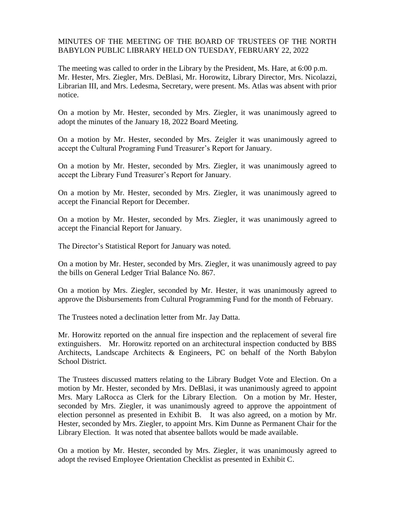MINUTES OF THE MEETING OF THE BOARD OF TRUSTEES OF THE NORTH BABYLON PUBLIC LIBRARY HELD ON TUESDAY, FEBRUARY 22, 2022

The meeting was called to order in the Library by the President, Ms. Hare, at 6:00 p.m. Mr. Hester, Mrs. Ziegler, Mrs. DeBlasi, Mr. Horowitz, Library Director, Mrs. Nicolazzi, Librarian III, and Mrs. Ledesma, Secretary, were present. Ms. Atlas was absent with prior notice.

On a motion by Mr. Hester, seconded by Mrs. Ziegler, it was unanimously agreed to adopt the minutes of the January 18, 2022 Board Meeting.

On a motion by Mr. Hester, seconded by Mrs. Zeigler it was unanimously agreed to accept the Cultural Programing Fund Treasurer's Report for January.

On a motion by Mr. Hester, seconded by Mrs. Ziegler, it was unanimously agreed to accept the Library Fund Treasurer's Report for January.

On a motion by Mr. Hester, seconded by Mrs. Ziegler, it was unanimously agreed to accept the Financial Report for December.

On a motion by Mr. Hester, seconded by Mrs. Ziegler, it was unanimously agreed to accept the Financial Report for January.

The Director's Statistical Report for January was noted.

On a motion by Mr. Hester, seconded by Mrs. Ziegler, it was unanimously agreed to pay the bills on General Ledger Trial Balance No. 867.

On a motion by Mrs. Ziegler, seconded by Mr. Hester, it was unanimously agreed to approve the Disbursements from Cultural Programming Fund for the month of February.

The Trustees noted a declination letter from Mr. Jay Datta.

Mr. Horowitz reported on the annual fire inspection and the replacement of several fire extinguishers. Mr. Horowitz reported on an architectural inspection conducted by BBS Architects, Landscape Architects & Engineers, PC on behalf of the North Babylon School District.

The Trustees discussed matters relating to the Library Budget Vote and Election. On a motion by Mr. Hester, seconded by Mrs. DeBlasi, it was unanimously agreed to appoint Mrs. Mary LaRocca as Clerk for the Library Election. On a motion by Mr. Hester, seconded by Mrs. Ziegler, it was unanimously agreed to approve the appointment of election personnel as presented in Exhibit B. It was also agreed, on a motion by Mr. Hester, seconded by Mrs. Ziegler, to appoint Mrs. Kim Dunne as Permanent Chair for the Library Election. It was noted that absentee ballots would be made available.

On a motion by Mr. Hester, seconded by Mrs. Ziegler, it was unanimously agreed to adopt the revised Employee Orientation Checklist as presented in Exhibit C.